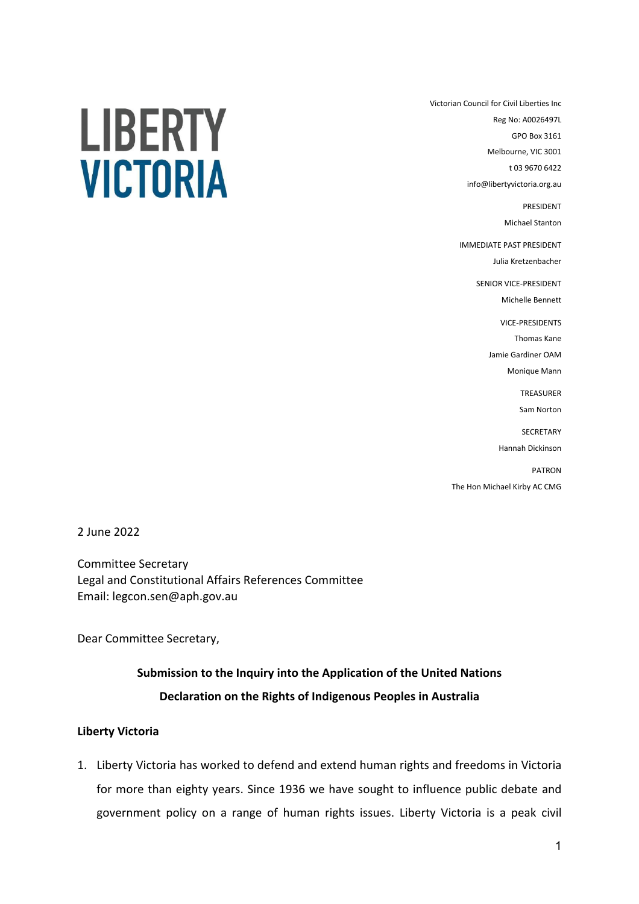LIBERTY **VICTORIA**  Victorian Council for Civil Liberties Inc Reg No: A0026497L GPO Box 3161 Melbourne, VIC 3001 t 03 9670 6422 info@libertyvictoria.org.au PRESIDENT

Michael Stanton

IMMEDIATE PAST PRESIDENT Julia Kretzenbacher

> SENIOR VICE-PRESIDENT Michelle Bennett

> > VICE-PRESIDENTS

Thomas Kane Jamie Gardiner OAM

Monique Mann

TREASURER Sam Norton

**SECRETARY** 

Hannah Dickinson

PATRON The Hon Michael Kirby AC CMG

2 June 2022

Committee Secretary Legal and Constitutional Affairs References Committee Email: legcon.sen@aph.gov.au

Dear Committee Secretary,

# **Submission to the Inquiry into the Application of the United Nations Declaration on the Rights of Indigenous Peoples in Australia**

## **Liberty Victoria**

1. Liberty Victoria has worked to defend and extend human rights and freedoms in Victoria for more than eighty years. Since 1936 we have sought to influence public debate and government policy on a range of human rights issues. Liberty Victoria is a peak civil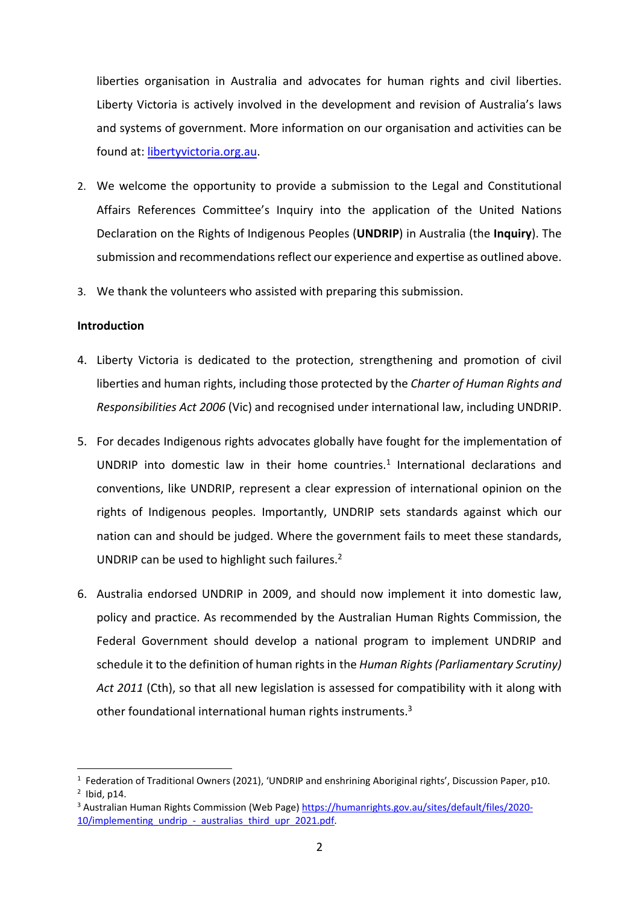liberties organisation in Australia and advocates for human rights and civil liberties. Liberty Victoria is actively involved in the development and revision of Australia's laws and systems of government. More information on our organisation and activities can be found at: libertyvictoria.org.au.

- 2. We welcome the opportunity to provide a submission to the Legal and Constitutional Affairs References Committee's Inquiry into the application of the United Nations Declaration on the Rights of Indigenous Peoples (**UNDRIP**) in Australia (the **Inquiry**). The submission and recommendations reflect our experience and expertise as outlined above.
- 3. We thank the volunteers who assisted with preparing this submission.

## **Introduction**

- 4. Liberty Victoria is dedicated to the protection, strengthening and promotion of civil liberties and human rights, including those protected by the *Charter of Human Rights and Responsibilities Act 2006* (Vic) and recognised under international law, including UNDRIP.
- 5. For decades Indigenous rights advocates globally have fought for the implementation of UNDRIP into domestic law in their home countries.<sup>1</sup> International declarations and conventions, like UNDRIP, represent a clear expression of international opinion on the rights of Indigenous peoples. Importantly, UNDRIP sets standards against which our nation can and should be judged. Where the government fails to meet these standards, UNDRIP can be used to highlight such failures.<sup>2</sup>
- 6. Australia endorsed UNDRIP in 2009, and should now implement it into domestic law, policy and practice. As recommended by the Australian Human Rights Commission, the Federal Government should develop a national program to implement UNDRIP and schedule it to the definition of human rights in the *Human Rights (Parliamentary Scrutiny) Act 2011* (Cth), so that all new legislation is assessed for compatibility with it along with other foundational international human rights instruments.<sup>3</sup>

<sup>&</sup>lt;sup>1</sup> Federation of Traditional Owners (2021), 'UNDRIP and enshrining Aboriginal rights', Discussion Paper, p10.  $<sup>2</sup>$  Ibid, p14.</sup>

<sup>3</sup> Australian Human Rights Commission (Web Page) https://humanrights.gov.au/sites/default/files/2020- 10/implementing\_undrip\_-\_australias\_third\_upr\_2021.pdf.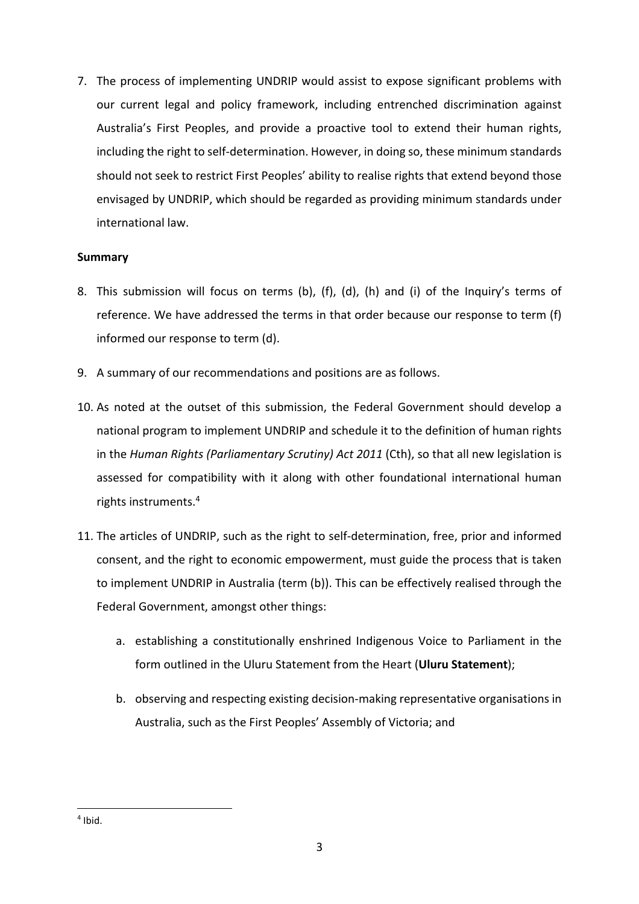7. The process of implementing UNDRIP would assist to expose significant problems with our current legal and policy framework, including entrenched discrimination against Australia's First Peoples, and provide a proactive tool to extend their human rights, including the right to self-determination. However, in doing so, these minimum standards should not seek to restrict First Peoples' ability to realise rights that extend beyond those envisaged by UNDRIP, which should be regarded as providing minimum standards under international law.

# **Summary**

- 8. This submission will focus on terms (b), (f), (d), (h) and (i) of the Inquiry's terms of reference. We have addressed the terms in that order because our response to term (f) informed our response to term (d).
- 9. A summary of our recommendations and positions are as follows.
- 10. As noted at the outset of this submission, the Federal Government should develop a national program to implement UNDRIP and schedule it to the definition of human rights in the *Human Rights (Parliamentary Scrutiny) Act 2011* (Cth), so that all new legislation is assessed for compatibility with it along with other foundational international human rights instruments.4
- 11. The articles of UNDRIP, such as the right to self-determination, free, prior and informed consent, and the right to economic empowerment, must guide the process that is taken to implement UNDRIP in Australia (term (b)). This can be effectively realised through the Federal Government, amongst other things:
	- a. establishing a constitutionally enshrined Indigenous Voice to Parliament in the form outlined in the Uluru Statement from the Heart (**Uluru Statement**);
	- b. observing and respecting existing decision-making representative organisations in Australia, such as the First Peoples' Assembly of Victoria; and

 $4$  Ibid.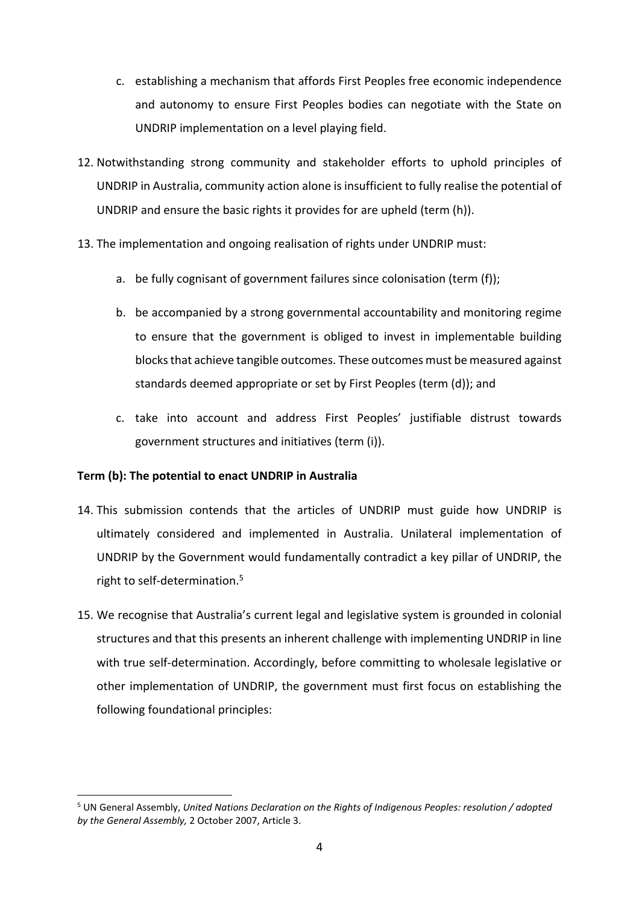- c. establishing a mechanism that affords First Peoples free economic independence and autonomy to ensure First Peoples bodies can negotiate with the State on UNDRIP implementation on a level playing field.
- 12. Notwithstanding strong community and stakeholder efforts to uphold principles of UNDRIP in Australia, community action alone is insufficient to fully realise the potential of UNDRIP and ensure the basic rights it provides for are upheld (term (h)).
- 13. The implementation and ongoing realisation of rights under UNDRIP must:
	- a. be fully cognisant of government failures since colonisation (term (f));
	- b. be accompanied by a strong governmental accountability and monitoring regime to ensure that the government is obliged to invest in implementable building blocks that achieve tangible outcomes. These outcomes must be measured against standards deemed appropriate or set by First Peoples (term (d)); and
	- c. take into account and address First Peoples' justifiable distrust towards government structures and initiatives (term (i)).

## **Term (b): The potential to enact UNDRIP in Australia**

- 14. This submission contends that the articles of UNDRIP must guide how UNDRIP is ultimately considered and implemented in Australia. Unilateral implementation of UNDRIP by the Government would fundamentally contradict a key pillar of UNDRIP, the right to self-determination.<sup>5</sup>
- 15. We recognise that Australia's current legal and legislative system is grounded in colonial structures and that this presents an inherent challenge with implementing UNDRIP in line with true self-determination. Accordingly, before committing to wholesale legislative or other implementation of UNDRIP, the government must first focus on establishing the following foundational principles:

<sup>5</sup> UN General Assembly, *United Nations Declaration on the Rights of Indigenous Peoples: resolution / adopted by the General Assembly,* 2 October 2007, Article 3.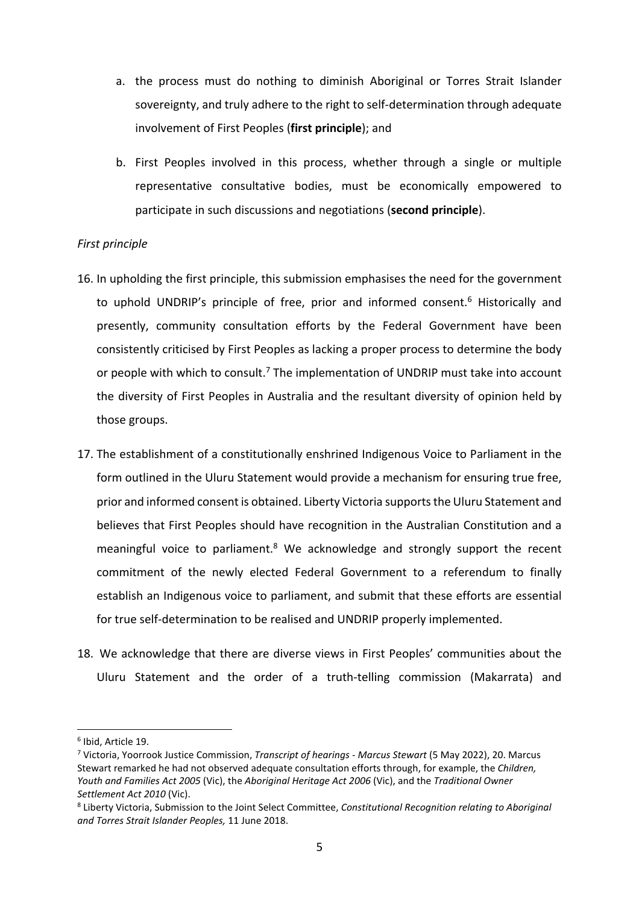- a. the process must do nothing to diminish Aboriginal or Torres Strait Islander sovereignty, and truly adhere to the right to self-determination through adequate involvement of First Peoples (**first principle**); and
- b. First Peoples involved in this process, whether through a single or multiple representative consultative bodies, must be economically empowered to participate in such discussions and negotiations (**second principle**).

## *First principle*

- 16. In upholding the first principle, this submission emphasises the need for the government to uphold UNDRIP's principle of free, prior and informed consent.<sup>6</sup> Historically and presently, community consultation efforts by the Federal Government have been consistently criticised by First Peoples as lacking a proper process to determine the body or people with which to consult.<sup>7</sup> The implementation of UNDRIP must take into account the diversity of First Peoples in Australia and the resultant diversity of opinion held by those groups.
- 17. The establishment of a constitutionally enshrined Indigenous Voice to Parliament in the form outlined in the Uluru Statement would provide a mechanism for ensuring true free, prior and informed consent is obtained. Liberty Victoria supports the Uluru Statement and believes that First Peoples should have recognition in the Australian Constitution and a meaningful voice to parliament.<sup>8</sup> We acknowledge and strongly support the recent commitment of the newly elected Federal Government to a referendum to finally establish an Indigenous voice to parliament, and submit that these efforts are essential for true self-determination to be realised and UNDRIP properly implemented.
- 18. We acknowledge that there are diverse views in First Peoples' communities about the Uluru Statement and the order of a truth-telling commission (Makarrata) and

<sup>6</sup> Ibid, Article 19.

<sup>7</sup> Victoria, Yoorrook Justice Commission, *Transcript of hearings - Marcus Stewart* (5 May 2022), 20. Marcus Stewart remarked he had not observed adequate consultation efforts through, for example, the *Children, Youth and Families Act 2005* (Vic), the *Aboriginal Heritage Act 2006* (Vic), and the *Traditional Owner Settlement Act 2010* (Vic).

<sup>8</sup> Liberty Victoria, Submission to the Joint Select Committee, *Constitutional Recognition relating to Aboriginal and Torres Strait Islander Peoples,* 11 June 2018.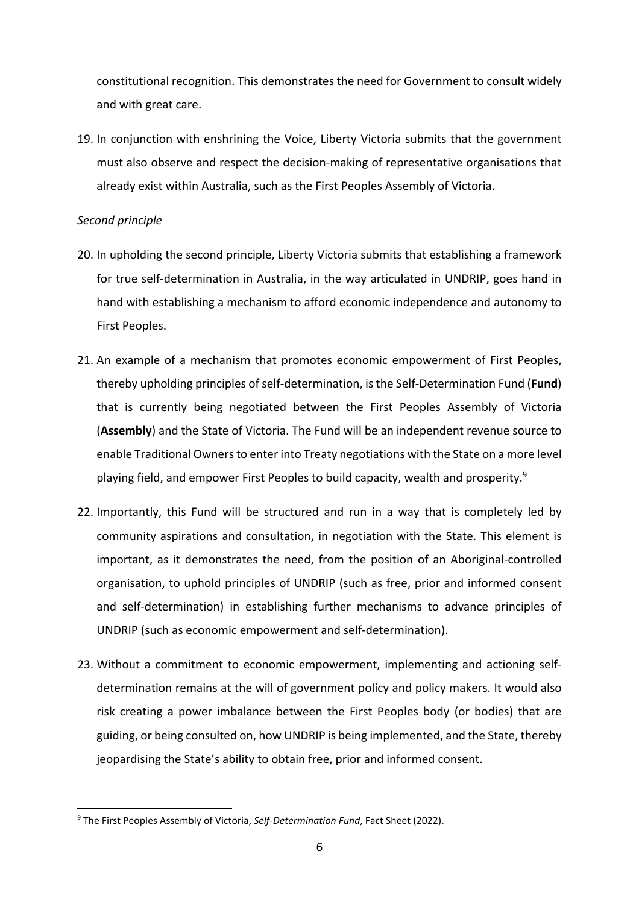constitutional recognition. This demonstrates the need for Government to consult widely and with great care.

19. In conjunction with enshrining the Voice, Liberty Victoria submits that the government must also observe and respect the decision-making of representative organisations that already exist within Australia, such as the First Peoples Assembly of Victoria.

#### *Second principle*

- 20. In upholding the second principle, Liberty Victoria submits that establishing a framework for true self-determination in Australia, in the way articulated in UNDRIP, goes hand in hand with establishing a mechanism to afford economic independence and autonomy to First Peoples.
- 21. An example of a mechanism that promotes economic empowerment of First Peoples, thereby upholding principles of self-determination, is the Self-Determination Fund (**Fund**) that is currently being negotiated between the First Peoples Assembly of Victoria (**Assembly**) and the State of Victoria. The Fund will be an independent revenue source to enable Traditional Owners to enter into Treaty negotiations with the State on a more level playing field, and empower First Peoples to build capacity, wealth and prosperity.9
- 22. Importantly, this Fund will be structured and run in a way that is completely led by community aspirations and consultation, in negotiation with the State. This element is important, as it demonstrates the need, from the position of an Aboriginal-controlled organisation, to uphold principles of UNDRIP (such as free, prior and informed consent and self-determination) in establishing further mechanisms to advance principles of UNDRIP (such as economic empowerment and self-determination).
- 23. Without a commitment to economic empowerment, implementing and actioning selfdetermination remains at the will of government policy and policy makers. It would also risk creating a power imbalance between the First Peoples body (or bodies) that are guiding, or being consulted on, how UNDRIP is being implemented, and the State, thereby jeopardising the State's ability to obtain free, prior and informed consent.

<sup>9</sup> The First Peoples Assembly of Victoria, *Self-Determination Fund*, Fact Sheet (2022).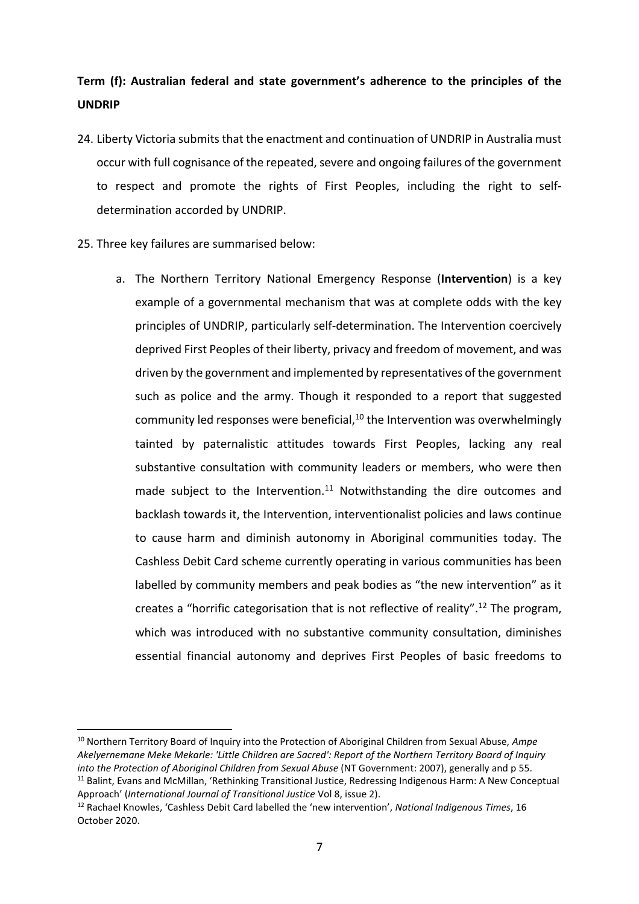# **Term (f): Australian federal and state government's adherence to the principles of the UNDRIP**

- 24. Liberty Victoria submits that the enactment and continuation of UNDRIP in Australia must occur with full cognisance of the repeated, severe and ongoing failures of the government to respect and promote the rights of First Peoples, including the right to selfdetermination accorded by UNDRIP.
- 25. Three key failures are summarised below:
	- a. The Northern Territory National Emergency Response (**Intervention**) is a key example of a governmental mechanism that was at complete odds with the key principles of UNDRIP, particularly self-determination. The Intervention coercively deprived First Peoples of their liberty, privacy and freedom of movement, and was driven by the government and implemented by representatives of the government such as police and the army. Though it responded to a report that suggested community led responses were beneficial, $10$  the Intervention was overwhelmingly tainted by paternalistic attitudes towards First Peoples, lacking any real substantive consultation with community leaders or members, who were then made subject to the Intervention.<sup>11</sup> Notwithstanding the dire outcomes and backlash towards it, the Intervention, interventionalist policies and laws continue to cause harm and diminish autonomy in Aboriginal communities today. The Cashless Debit Card scheme currently operating in various communities has been labelled by community members and peak bodies as "the new intervention" as it creates a "horrific categorisation that is not reflective of reality".<sup>12</sup> The program, which was introduced with no substantive community consultation, diminishes essential financial autonomy and deprives First Peoples of basic freedoms to

<sup>10</sup> Northern Territory Board of Inquiry into the Protection of Aboriginal Children from Sexual Abuse, *Ampe Akelyernemane Meke Mekarle: 'Little Children are Sacred': Report of the Northern Territory Board of Inquiry into the Protection of Aboriginal Children from Sexual Abuse* (NT Government: 2007), generally and p 55.<br><sup>11</sup> Balint, Evans and McMillan, 'Rethinking Transitional Justice, Redressing Indigenous Harm: A New Conceptual

Approach' (*International Journal of Transitional Justice* Vol 8, issue 2).<br><sup>12</sup> Rachael Knowles, 'Cashless Debit Card labelled the 'new intervention', *National Indigenous Times*, 16

October 2020.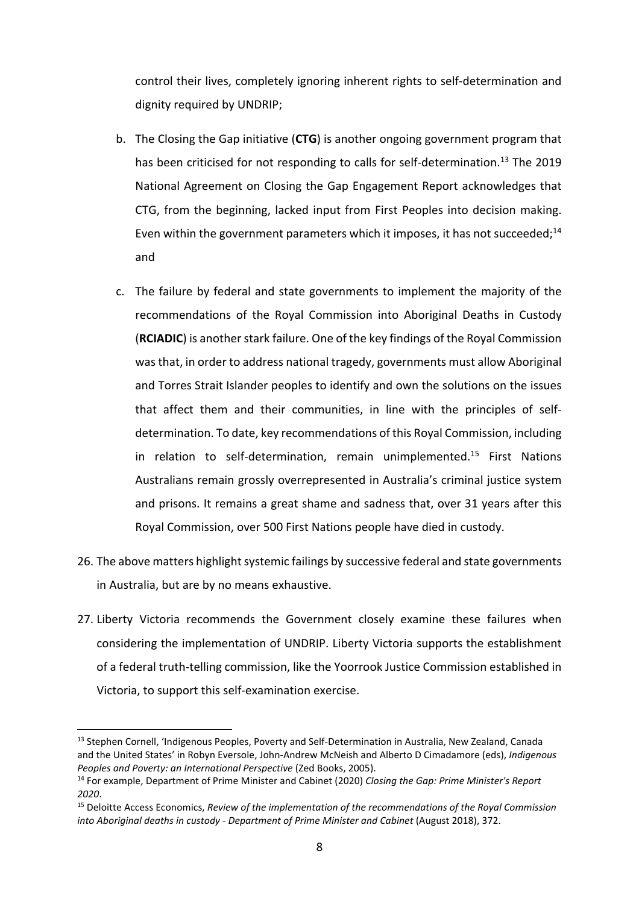control their lives, completely ignoring inherent rights to self-determination and dignity required by UNDRIP;

- b. The Closing the Gap initiative (**CTG**) is another ongoing government program that has been criticised for not responding to calls for self-determination.<sup>13</sup> The 2019 National Agreement on Closing the Gap Engagement Report acknowledges that CTG, from the beginning, lacked input from First Peoples into decision making. Even within the government parameters which it imposes, it has not succeeded;<sup>14</sup> and
- c. The failure by federal and state governments to implement the majority of the recommendations of the Royal Commission into Aboriginal Deaths in Custody (**RCIADIC**) is another stark failure. One of the key findings of the Royal Commission was that, in order to address national tragedy, governments must allow Aboriginal and Torres Strait Islander peoples to identify and own the solutions on the issues that affect them and their communities, in line with the principles of selfdetermination. To date, key recommendations of this Royal Commission, including in relation to self-determination, remain unimplemented.<sup>15</sup> First Nations Australians remain grossly overrepresented in Australia's criminal justice system and prisons. It remains a great shame and sadness that, over 31 years after this Royal Commission, over 500 First Nations people have died in custody.
- 26. The above matters highlight systemic failings by successive federal and state governments in Australia, but are by no means exhaustive.
- 27. Liberty Victoria recommends the Government closely examine these failures when considering the implementation of UNDRIP. Liberty Victoria supports the establishment of a federal truth-telling commission, like the Yoorrook Justice Commission established in Victoria, to support this self-examination exercise.

<sup>&</sup>lt;sup>13</sup> Stephen Cornell, 'Indigenous Peoples, Poverty and Self-Determination in Australia, New Zealand, Canada and the United States' in Robyn Eversole, John-Andrew McNeish and Alberto D Cimadamore (eds), *Indigenous Peoples and Poverty: an International Perspective* (Zed Books, 2005).

<sup>14</sup> For example, Department of Prime Minister and Cabinet (2020) *Closing the Gap: Prime Minister's Report 2020*.

<sup>15</sup> Deloitte Access Economics, *Review of the implementation of the recommendations of the Royal Commission into Aboriginal deaths in custody - Department of Prime Minister and Cabinet* (August 2018), 372.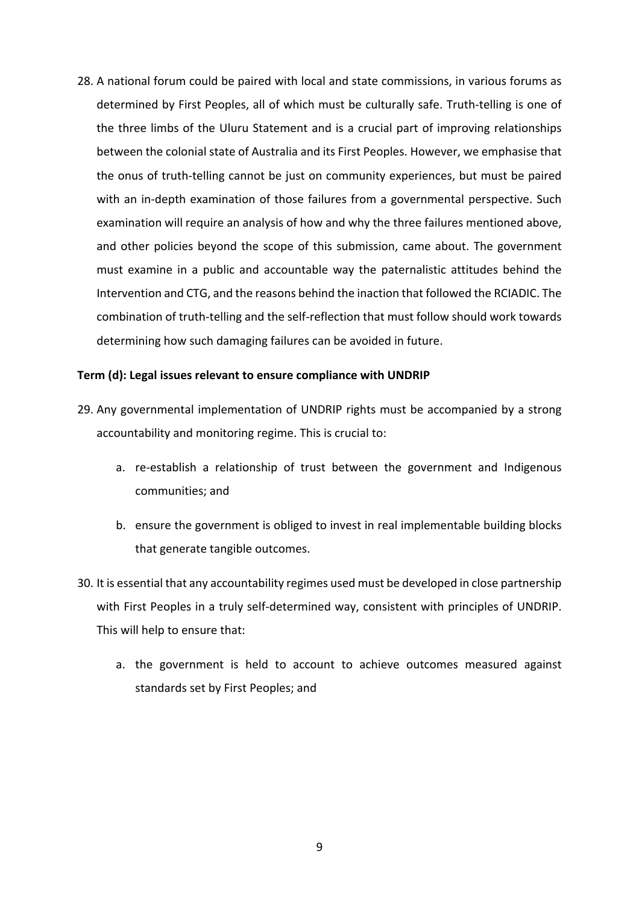28. A national forum could be paired with local and state commissions, in various forums as determined by First Peoples, all of which must be culturally safe. Truth-telling is one of the three limbs of the Uluru Statement and is a crucial part of improving relationships between the colonial state of Australia and its First Peoples. However, we emphasise that the onus of truth-telling cannot be just on community experiences, but must be paired with an in-depth examination of those failures from a governmental perspective. Such examination will require an analysis of how and why the three failures mentioned above, and other policies beyond the scope of this submission, came about. The government must examine in a public and accountable way the paternalistic attitudes behind the Intervention and CTG, and the reasons behind the inaction that followed the RCIADIC. The combination of truth-telling and the self-reflection that must follow should work towards determining how such damaging failures can be avoided in future.

#### **Term (d): Legal issues relevant to ensure compliance with UNDRIP**

- 29. Any governmental implementation of UNDRIP rights must be accompanied by a strong accountability and monitoring regime. This is crucial to:
	- a. re-establish a relationship of trust between the government and Indigenous communities; and
	- b. ensure the government is obliged to invest in real implementable building blocks that generate tangible outcomes.
- 30. It is essential that any accountability regimes used must be developed in close partnership with First Peoples in a truly self-determined way, consistent with principles of UNDRIP. This will help to ensure that:
	- a. the government is held to account to achieve outcomes measured against standards set by First Peoples; and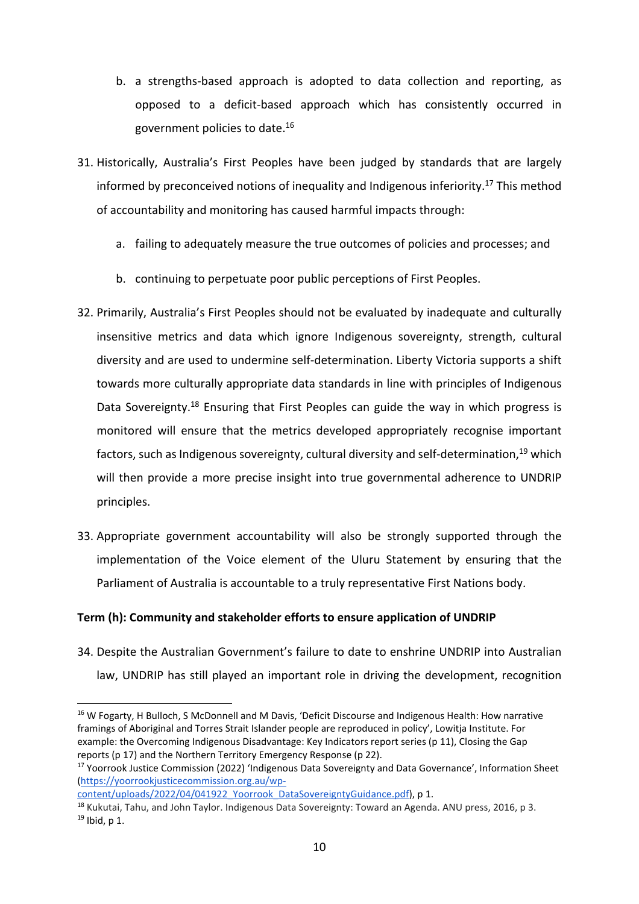- b. a strengths-based approach is adopted to data collection and reporting, as opposed to a deficit-based approach which has consistently occurred in government policies to date.16
- 31. Historically, Australia's First Peoples have been judged by standards that are largely informed by preconceived notions of inequality and Indigenous inferiority.17 This method of accountability and monitoring has caused harmful impacts through:
	- a. failing to adequately measure the true outcomes of policies and processes; and
	- b. continuing to perpetuate poor public perceptions of First Peoples.
- 32. Primarily, Australia's First Peoples should not be evaluated by inadequate and culturally insensitive metrics and data which ignore Indigenous sovereignty, strength, cultural diversity and are used to undermine self-determination. Liberty Victoria supports a shift towards more culturally appropriate data standards in line with principles of Indigenous Data Sovereignty.<sup>18</sup> Ensuring that First Peoples can guide the way in which progress is monitored will ensure that the metrics developed appropriately recognise important factors, such as Indigenous sovereignty, cultural diversity and self-determination,<sup>19</sup> which will then provide a more precise insight into true governmental adherence to UNDRIP principles.
- 33. Appropriate government accountability will also be strongly supported through the implementation of the Voice element of the Uluru Statement by ensuring that the Parliament of Australia is accountable to a truly representative First Nations body.

# **Term (h): Community and stakeholder efforts to ensure application of UNDRIP**

34. Despite the Australian Government's failure to date to enshrine UNDRIP into Australian law, UNDRIP has still played an important role in driving the development, recognition

content/uploads/2022/04/041922\_Yoorrook\_DataSovereigntyGuidance.pdf), p 1.

<sup>&</sup>lt;sup>16</sup> W Fogarty, H Bulloch, S McDonnell and M Davis, 'Deficit Discourse and Indigenous Health: How narrative framings of Aboriginal and Torres Strait Islander people are reproduced in policy', Lowitja Institute. For example: the Overcoming Indigenous Disadvantage: Key Indicators report series (p 11), Closing the Gap reports (p 17) and the Northern Territory Emergency Response (p 22).

<sup>&</sup>lt;sup>17</sup> Yoorrook Justice Commission (2022) 'Indigenous Data Sovereignty and Data Governance', Information Sheet (https://yoorrookjusticecommission.org.au/wp-

<sup>18</sup> Kukutai, Tahu, and John Taylor. Indigenous Data Sovereignty: Toward an Agenda. ANU press, 2016, p 3.  $19$  Ibid, p 1.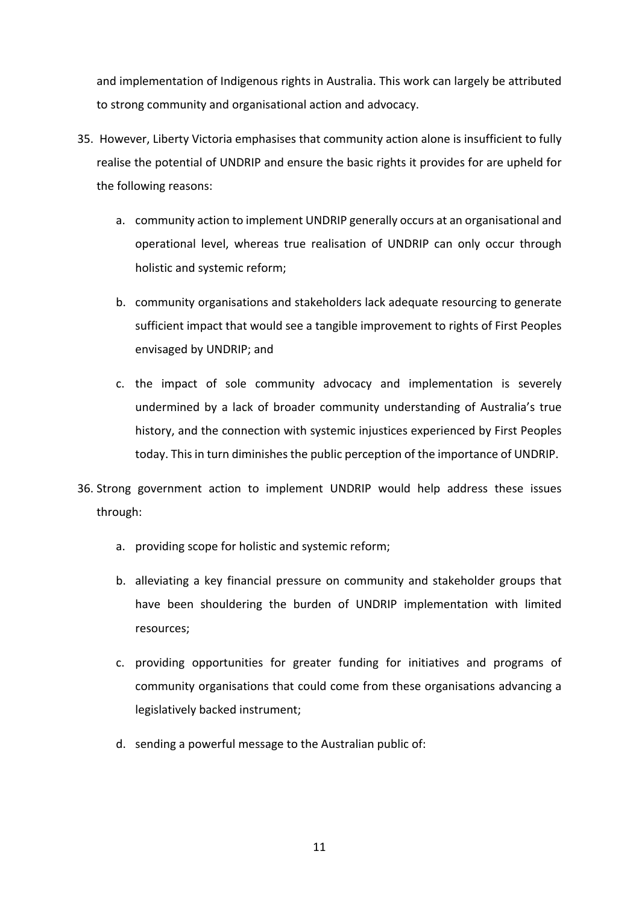and implementation of Indigenous rights in Australia. This work can largely be attributed to strong community and organisational action and advocacy.

- 35. However, Liberty Victoria emphasises that community action alone is insufficient to fully realise the potential of UNDRIP and ensure the basic rights it provides for are upheld for the following reasons:
	- a. community action to implement UNDRIP generally occurs at an organisational and operational level, whereas true realisation of UNDRIP can only occur through holistic and systemic reform;
	- b. community organisations and stakeholders lack adequate resourcing to generate sufficient impact that would see a tangible improvement to rights of First Peoples envisaged by UNDRIP; and
	- c. the impact of sole community advocacy and implementation is severely undermined by a lack of broader community understanding of Australia's true history, and the connection with systemic injustices experienced by First Peoples today. This in turn diminishes the public perception of the importance of UNDRIP.
- 36. Strong government action to implement UNDRIP would help address these issues through:
	- a. providing scope for holistic and systemic reform;
	- b. alleviating a key financial pressure on community and stakeholder groups that have been shouldering the burden of UNDRIP implementation with limited resources;
	- c. providing opportunities for greater funding for initiatives and programs of community organisations that could come from these organisations advancing a legislatively backed instrument;
	- d. sending a powerful message to the Australian public of: